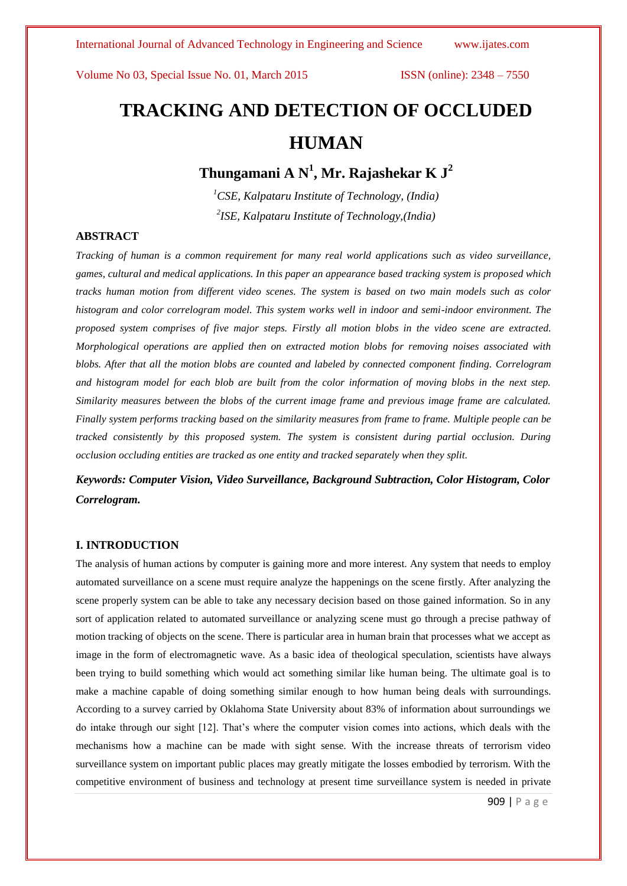# **TRACKING AND DETECTION OF OCCLUDED HUMAN**

**Thungamani A N<sup>1</sup> , Mr. Rajashekar K J<sup>2</sup>**

*<sup>1</sup>CSE, Kalpataru Institute of Technology, (India) 2 ISE, Kalpataru Institute of Technology,(India)*

# **ABSTRACT**

*Tracking of human is a common requirement for many real world applications such as video surveillance, games, cultural and medical applications. In this paper an appearance based tracking system is proposed which tracks human motion from different video scenes. The system is based on two main models such as color histogram and color correlogram model. This system works well in indoor and semi-indoor environment. The proposed system comprises of five major steps. Firstly all motion blobs in the video scene are extracted. Morphological operations are applied then on extracted motion blobs for removing noises associated with blobs. After that all the motion blobs are counted and labeled by connected component finding. Correlogram and histogram model for each blob are built from the color information of moving blobs in the next step. Similarity measures between the blobs of the current image frame and previous image frame are calculated. Finally system performs tracking based on the similarity measures from frame to frame. Multiple people can be tracked consistently by this proposed system. The system is consistent during partial occlusion. During occlusion occluding entities are tracked as one entity and tracked separately when they split.*

*Keywords: Computer Vision, Video Surveillance, Background Subtraction, Color Histogram, Color Correlogram.*

### **I. INTRODUCTION**

The analysis of human actions by computer is gaining more and more interest. Any system that needs to employ automated surveillance on a scene must require analyze the happenings on the scene firstly. After analyzing the scene properly system can be able to take any necessary decision based on those gained information. So in any sort of application related to automated surveillance or analyzing scene must go through a precise pathway of motion tracking of objects on the scene. There is particular area in human brain that processes what we accept as image in the form of electromagnetic wave. As a basic idea of theological speculation, scientists have always been trying to build something which would act something similar like human being. The ultimate goal is to make a machine capable of doing something similar enough to how human being deals with surroundings. According to a survey carried by Oklahoma State University about 83% of information about surroundings we do intake through our sight [12]. That's where the computer vision comes into actions, which deals with the mechanisms how a machine can be made with sight sense. With the increase threats of terrorism video surveillance system on important public places may greatly mitigate the losses embodied by terrorism. With the competitive environment of business and technology at present time surveillance system is needed in private

909 | P a g e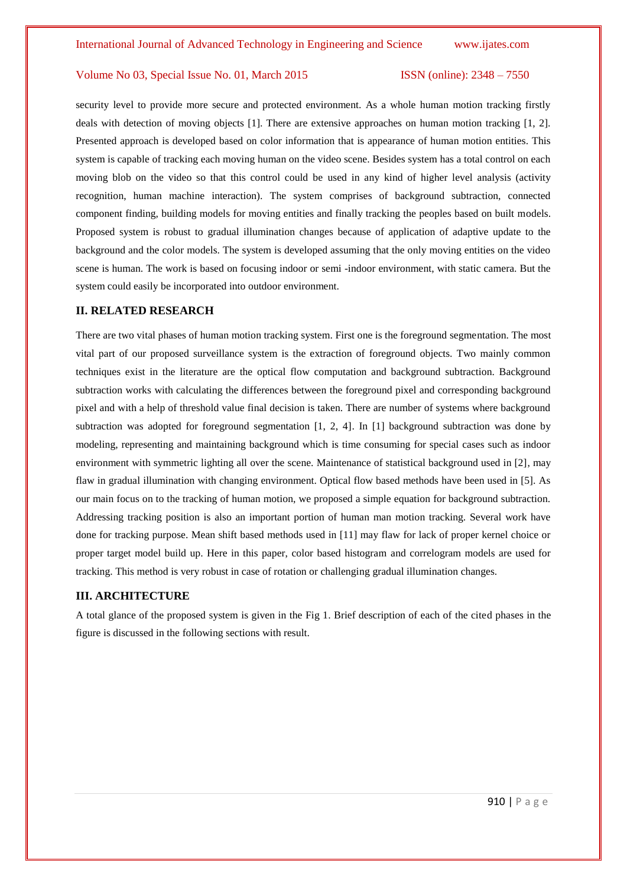security level to provide more secure and protected environment. As a whole human motion tracking firstly deals with detection of moving objects [1]. There are extensive approaches on human motion tracking [1, 2]. Presented approach is developed based on color information that is appearance of human motion entities. This system is capable of tracking each moving human on the video scene. Besides system has a total control on each moving blob on the video so that this control could be used in any kind of higher level analysis (activity recognition, human machine interaction). The system comprises of background subtraction, connected component finding, building models for moving entities and finally tracking the peoples based on built models. Proposed system is robust to gradual illumination changes because of application of adaptive update to the background and the color models. The system is developed assuming that the only moving entities on the video scene is human. The work is based on focusing indoor or semi -indoor environment, with static camera. But the system could easily be incorporated into outdoor environment.

#### **II. RELATED RESEARCH**

There are two vital phases of human motion tracking system. First one is the foreground segmentation. The most vital part of our proposed surveillance system is the extraction of foreground objects. Two mainly common techniques exist in the literature are the optical flow computation and background subtraction. Background subtraction works with calculating the differences between the foreground pixel and corresponding background pixel and with a help of threshold value final decision is taken. There are number of systems where background subtraction was adopted for foreground segmentation [1, 2, 4]. In [1] background subtraction was done by modeling, representing and maintaining background which is time consuming for special cases such as indoor environment with symmetric lighting all over the scene. Maintenance of statistical background used in [2], may flaw in gradual illumination with changing environment. Optical flow based methods have been used in [5]. As our main focus on to the tracking of human motion, we proposed a simple equation for background subtraction. Addressing tracking position is also an important portion of human man motion tracking. Several work have done for tracking purpose. Mean shift based methods used in [11] may flaw for lack of proper kernel choice or proper target model build up. Here in this paper, color based histogram and correlogram models are used for tracking. This method is very robust in case of rotation or challenging gradual illumination changes.

#### **III. ARCHITECTURE**

A total glance of the proposed system is given in the Fig 1. Brief description of each of the cited phases in the figure is discussed in the following sections with result.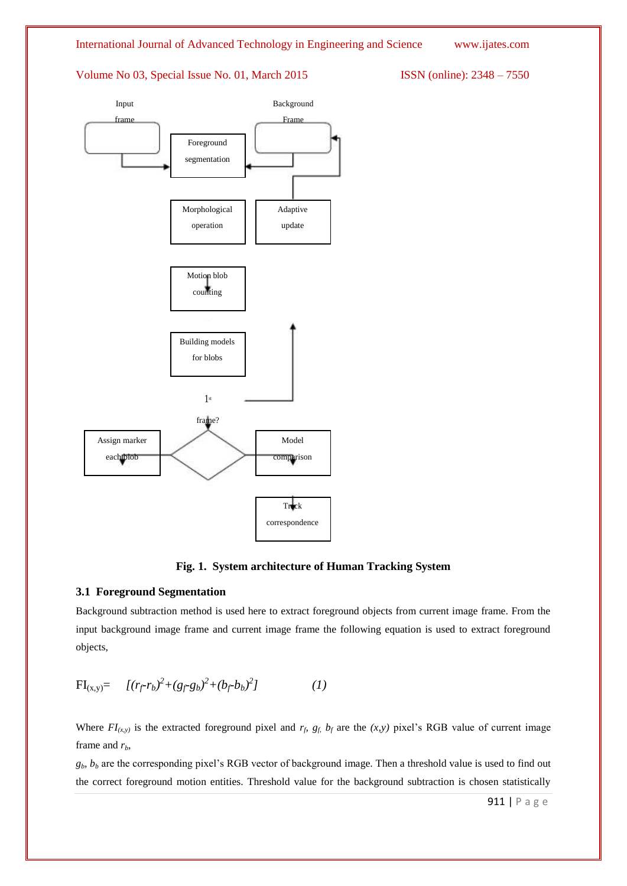

**Fig. 1. System architecture of Human Tracking System**

# **3.1 Foreground Segmentation**

Background subtraction method is used here to extract foreground objects from current image frame. From the input background image frame and current image frame the following equation is used to extract foreground objects,

FI<sub>(x,y)</sub>= 
$$
[(r_f \cdot r_b)^2 + (g_f \cdot g_b)^2 + (b_f \cdot b_b)^2]
$$
 (1)

Where  $FI_{(x,y)}$  is the extracted foreground pixel and  $r_f$ ,  $g_f$ ,  $b_f$  are the  $(x,y)$  pixel's RGB value of current image frame and *rb,*

 $g_b$ ,  $b_b$  are the corresponding pixel's RGB vector of background image. Then a threshold value is used to find out the correct foreground motion entities. Threshold value for the background subtraction is chosen statistically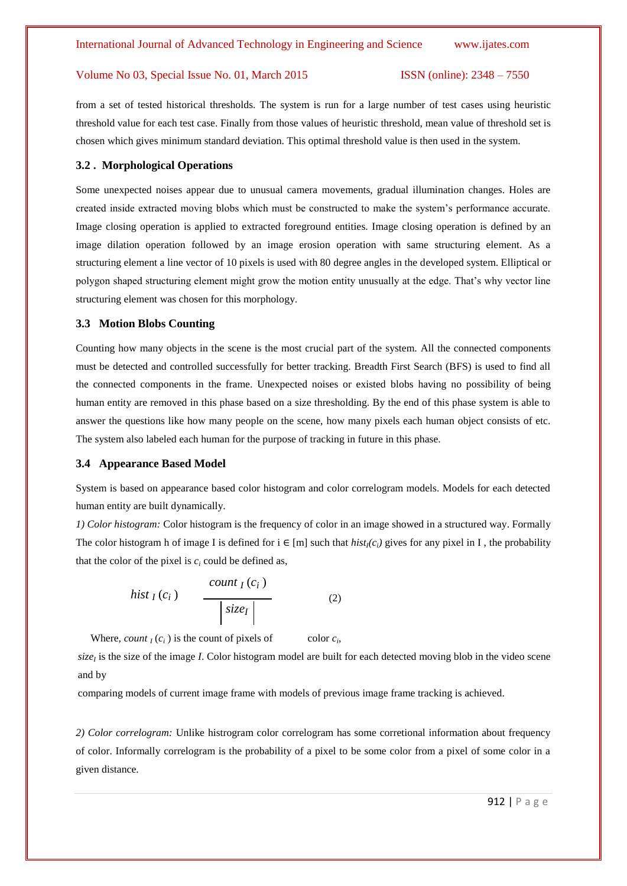from a set of tested historical thresholds. The system is run for a large number of test cases using heuristic threshold value for each test case. Finally from those values of heuristic threshold, mean value of threshold set is chosen which gives minimum standard deviation. This optimal threshold value is then used in the system.

### **3.2 . Morphological Operations**

Some unexpected noises appear due to unusual camera movements, gradual illumination changes. Holes are created inside extracted moving blobs which must be constructed to make the system's performance accurate. Image closing operation is applied to extracted foreground entities. Image closing operation is defined by an image dilation operation followed by an image erosion operation with same structuring element. As a structuring element a line vector of 10 pixels is used with 80 degree angles in the developed system. Elliptical or polygon shaped structuring element might grow the motion entity unusually at the edge. That's why vector line structuring element was chosen for this morphology.

### **3.3 Motion Blobs Counting**

Counting how many objects in the scene is the most crucial part of the system. All the connected components must be detected and controlled successfully for better tracking. Breadth First Search (BFS) is used to find all the connected components in the frame. Unexpected noises or existed blobs having no possibility of being human entity are removed in this phase based on a size thresholding. By the end of this phase system is able to answer the questions like how many people on the scene, how many pixels each human object consists of etc. The system also labeled each human for the purpose of tracking in future in this phase.

#### **3.4 Appearance Based Model**

System is based on appearance based color histogram and color correlogram models. Models for each detected human entity are built dynamically.

*1) Color histogram:* Color histogram is the frequency of color in an image showed in a structured way. Formally The color histogram h of image I is defined for  $i \in [m]$  such that  $hist<sub>i</sub>(c<sub>i</sub>)$  gives for any pixel in I, the probability that the color of the pixel is  $c_i$  could be defined as,

$$
hist_{I}(c_{i}) \qquad \qquad \underbrace{count_{I}(c_{i})}_{\text{size}_{I}} \qquad \qquad (2)
$$

Where, *count*  $I(c_i)$  is the count of pixels of color  $c_i$ ,

*size<sup>I</sup>* is the size of the image *I*. Color histogram model are built for each detected moving blob in the video scene and by

comparing models of current image frame with models of previous image frame tracking is achieved.

*2) Color correlogram:* Unlike histrogram color correlogram has some corretional information about frequency of color. Informally correlogram is the probability of a pixel to be some color from a pixel of some color in a given distance.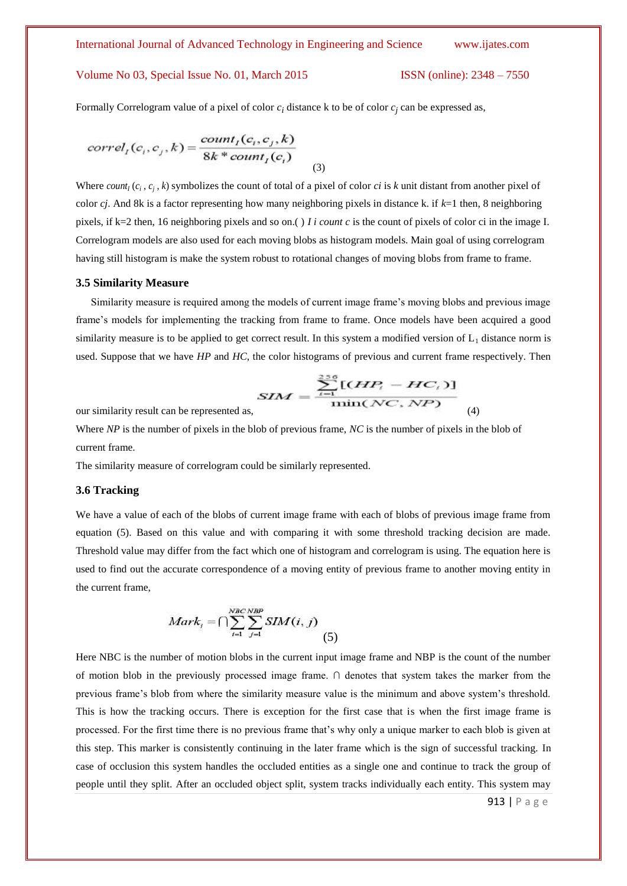Formally Correlogram value of a pixel of color  $c_i$  distance k to be of color  $c_i$  can be expressed as,

$$
correlI(ci, cj, k) = \frac{countI(ci, cj, k)}{8k * countI(ci)}
$$
\n(3)

Where  $count<sub>I</sub>(c<sub>i</sub>, c<sub>j</sub>, k)$  symbolizes the count of total of a pixel of color *ci* is *k* unit distant from another pixel of color *cj*. And 8k is a factor representing how many neighboring pixels in distance k. if *k*=1 then, 8 neighboring pixels, if k=2 then, 16 neighboring pixels and so on.( ) *I i count c* is the count of pixels of color ci in the image I. Correlogram models are also used for each moving blobs as histogram models. Main goal of using correlogram having still histogram is make the system robust to rotational changes of moving blobs from frame to frame.

#### **3.5 Similarity Measure**

Similarity measure is required among the models of current image frame's moving blobs and previous image frame's models for implementing the tracking from frame to frame. Once models have been acquired a good similarity measure is to be applied to get correct result. In this system a modified version of  $L_1$  distance norm is used. Suppose that we have *HP* and *HC*, the color histograms of previous and current frame respectively. Then

$$
SIM = \frac{\sum_{i=1}^{236} [(HP_i - HC_i)]}{\min(NC, NP)}
$$

our similarity result can be represented as,  $(4)$ 

Where *NP* is the number of pixels in the blob of previous frame, *NC* is the number of pixels in the blob of current frame.

The similarity measure of correlogram could be similarly represented.

#### **3.6 Tracking**

We have a value of each of the blobs of current image frame with each of blobs of previous image frame from equation (5). Based on this value and with comparing it with some threshold tracking decision are made. Threshold value may differ from the fact which one of histogram and correlogram is using. The equation here is used to find out the accurate correspondence of a moving entity of previous frame to another moving entity in the current frame,

$$
Mark_{i} = \bigcap_{i=1}^{NBC} \sum_{j=1}^{NBC} SIM(i, j)
$$
 (5)

Here NBC is the number of motion blobs in the current input image frame and NBP is the count of the number of motion blob in the previously processed image frame. ∩ denotes that system takes the marker from the previous frame's blob from where the similarity measure value is the minimum and above system's threshold. This is how the tracking occurs. There is exception for the first case that is when the first image frame is processed. For the first time there is no previous frame that's why only a unique marker to each blob is given at this step. This marker is consistently continuing in the later frame which is the sign of successful tracking. In case of occlusion this system handles the occluded entities as a single one and continue to track the group of people until they split. After an occluded object split, system tracks individually each entity. This system may

913 | P a g e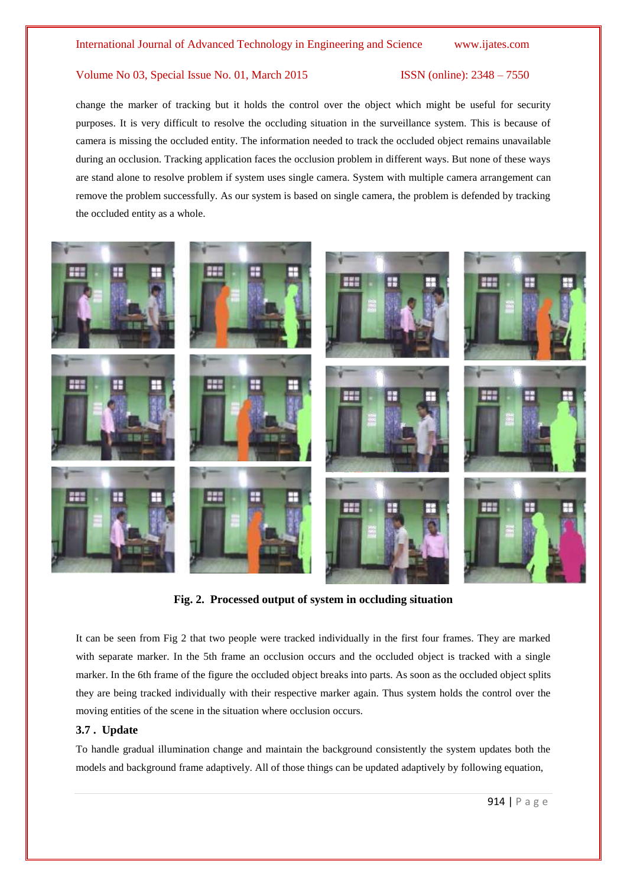change the marker of tracking but it holds the control over the object which might be useful for security purposes. It is very difficult to resolve the occluding situation in the surveillance system. This is because of camera is missing the occluded entity. The information needed to track the occluded object remains unavailable during an occlusion. Tracking application faces the occlusion problem in different ways. But none of these ways are stand alone to resolve problem if system uses single camera. System with multiple camera arrangement can remove the problem successfully. As our system is based on single camera, the problem is defended by tracking the occluded entity as a whole.



**Fig. 2. Processed output of system in occluding situation**

It can be seen from Fig 2 that two people were tracked individually in the first four frames. They are marked with separate marker. In the 5th frame an occlusion occurs and the occluded object is tracked with a single marker. In the 6th frame of the figure the occluded object breaks into parts. As soon as the occluded object splits they are being tracked individually with their respective marker again. Thus system holds the control over the moving entities of the scene in the situation where occlusion occurs.

# **3.7 . Update**

To handle gradual illumination change and maintain the background consistently the system updates both the models and background frame adaptively. All of those things can be updated adaptively by following equation,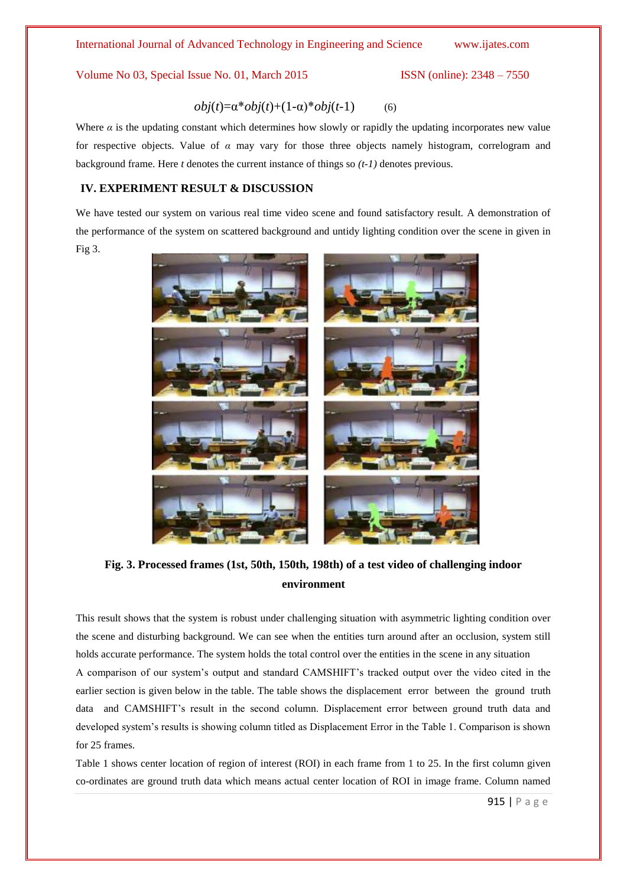$$
obj(t)=\alpha^*obj(t)+(1-\alpha)^*obj(t-1) \tag{6}
$$

Where  $\alpha$  is the updating constant which determines how slowly or rapidly the updating incorporates new value for respective objects. Value of *α* may vary for those three objects namely histogram, correlogram and background frame. Here *t* denotes the current instance of things so *(t-1)* denotes previous.

### **IV. EXPERIMENT RESULT & DISCUSSION**

We have tested our system on various real time video scene and found satisfactory result. A demonstration of the performance of the system on scattered background and untidy lighting condition over the scene in given in Fig 3.



**Fig. 3. Processed frames (1st, 50th, 150th, 198th) of a test video of challenging indoor environment**

This result shows that the system is robust under challenging situation with asymmetric lighting condition over the scene and disturbing background. We can see when the entities turn around after an occlusion, system still holds accurate performance. The system holds the total control over the entities in the scene in any situation A comparison of our system's output and standard CAMSHIFT's tracked output over the video cited in the earlier section is given below in the table. The table shows the displacement error between the ground truth data and CAMSHIFT's result in the second column. Displacement error between ground truth data and developed system's results is showing column titled as Displacement Error in the Table 1. Comparison is shown for 25 frames.

Table 1 shows center location of region of interest (ROI) in each frame from 1 to 25. In the first column given co-ordinates are ground truth data which means actual center location of ROI in image frame. Column named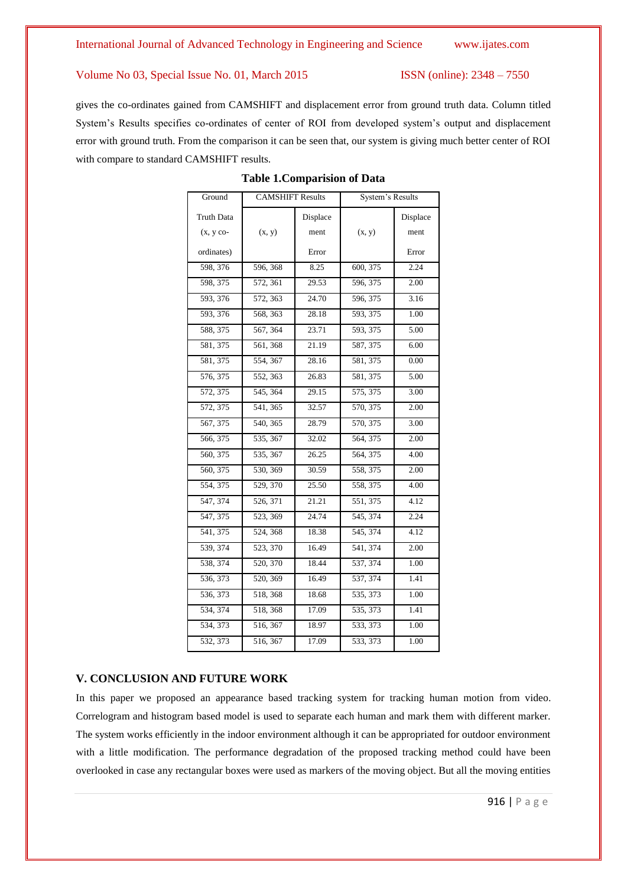gives the co-ordinates gained from CAMSHIFT and displacement error from ground truth data. Column titled System's Results specifies co-ordinates of center of ROI from developed system's output and displacement error with ground truth. From the comparison it can be seen that, our system is giving much better center of ROI with compare to standard CAMSHIFT results.

| Ground            | <b>CAMSHIFT Results</b> |          | System's Results |          |
|-------------------|-------------------------|----------|------------------|----------|
| <b>Truth Data</b> |                         | Displace |                  | Displace |
| $(x, y co-$       | (x, y)                  | ment     | (x, y)           | ment     |
| ordinates)        |                         | Error    |                  | Error    |
| 598, 376          | 596, 368                | 8.25     | 600, 375         | 2.24     |
| 598, 375          | 572, 361                | 29.53    | 596, 375         | 2.00     |
| 593, 376          | 572, 363                | 24.70    | 596, 375         | 3.16     |
| 593, 376          | 568, 363                | 28.18    | 593, 375         | 1.00     |
| 588, 375          | 567, 364                | 23.71    | 593, 375         | 5.00     |
| 581, 375          | 561, 368                | 21.19    | 587, 375         | 6.00     |
| 581, 375          | 554, 367                | 28.16    | 581, 375         | 0.00     |
| 576, 375          | 552, 363                | 26.83    | 581, 375         | 5.00     |
| 572, 375          | 545, 364                | 29.15    | 575, 375         | 3.00     |
| 572, 375          | 541, 365                | 32.57    | 570, 375         | 2.00     |
| 567, 375          | 540, 365                | 28.79    | 570, 375         | 3.00     |
| 566, 375          | 535, 367                | 32.02    | 564, 375         | 2.00     |
| 560, 375          | 535, 367                | 26.25    | 564, 375         | 4.00     |
| 560, 375          | 530, 369                | 30.59    | 558, 375         | 2.00     |
| 554, 375          | 529, 370                | 25.50    | 558, 375         | 4.00     |
| 547, 374          | 526, 371                | 21.21    | 551, 375         | 4.12     |
| 547, 375          | 523, 369                | 24.74    | 545, 374         | 2.24     |
| 541, 375          | 524, 368                | 18.38    | 545, 374         | 4.12     |
| 539, 374          | 523, 370                | 16.49    | 541, 374         | 2.00     |
| 538, 374          | 520, 370                | 18.44    | 537, 374         | 1.00     |
| 536, 373          | 520, 369                | 16.49    | 537, 374         | 1.41     |
| 536, 373          | 518, 368                | 18.68    | 535, 373         | 1.00     |
| 534, 374          | 518, 368                | 17.09    | 535, 373         | 1.41     |
| 534, 373          | 516, 367                | 18.97    | 533, 373         | 1.00     |
| 532, 373          | 516, 367                | 17.09    | 533, 373         | 1.00     |
|                   |                         |          |                  |          |

### **Table 1.Comparision of Data**

#### **V. CONCLUSION AND FUTURE WORK**

In this paper we proposed an appearance based tracking system for tracking human motion from video. Correlogram and histogram based model is used to separate each human and mark them with different marker. The system works efficiently in the indoor environment although it can be appropriated for outdoor environment with a little modification. The performance degradation of the proposed tracking method could have been overlooked in case any rectangular boxes were used as markers of the moving object. But all the moving entities